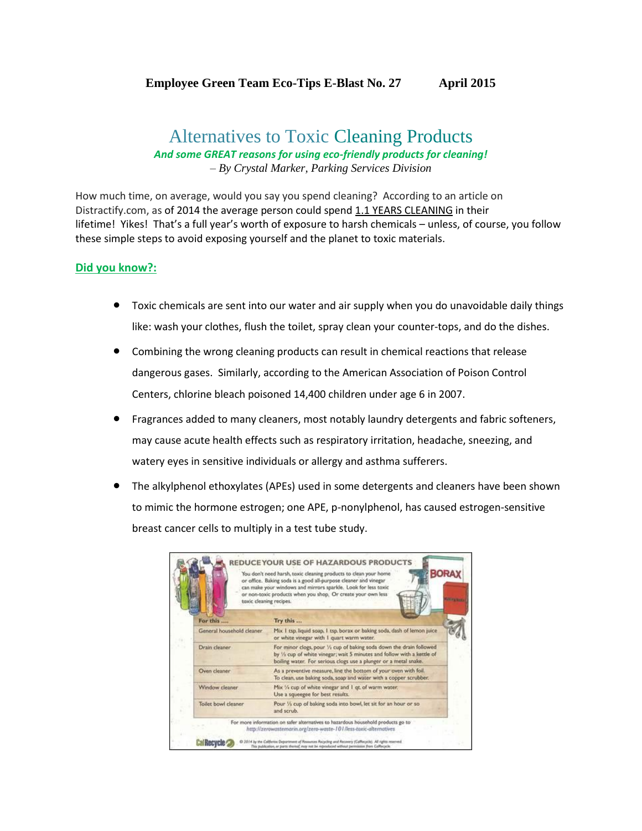## **Employee Green Team Eco-Tips E-Blast No. 27 April 2015**

## Alternatives to Toxic Cleaning Products *And some GREAT reasons for using eco-friendly products for cleaning! – By Crystal Marker, Parking Services Division*

How much time, on average, would you say you spend cleaning? According to an article on Distractify.com, as of 2014 the average person could spend 1.1 YEARS CLEANING in their lifetime! Yikes! That's a full year's worth of exposure to harsh chemicals – unless, of course, you follow these simple steps to avoid exposing yourself and the planet to toxic materials.

## **Did you know?:**

- Toxic chemicals are sent into our water and air supply when you do unavoidable daily things like: wash your clothes, flush the toilet, spray clean your counter-tops, and do the dishes.
- Combining the wrong cleaning products can result in chemical reactions that release dangerous gases. Similarly, according to the American Association of Poison Control Centers, chlorine bleach poisoned 14,400 children under age 6 in 2007.
- Fragrances added to many cleaners, most notably laundry detergents and fabric softeners, may cause acute health effects such as respiratory irritation, headache, sneezing, and watery eyes in sensitive individuals or allergy and asthma sufferers.
- The alkylphenol ethoxylates (APEs) used in some detergents and cleaners have been shown to mimic the hormone estrogen; one APE, p-nonylphenol, has caused estrogen-sensitive breast cancer cells to multiply in a test tube study.